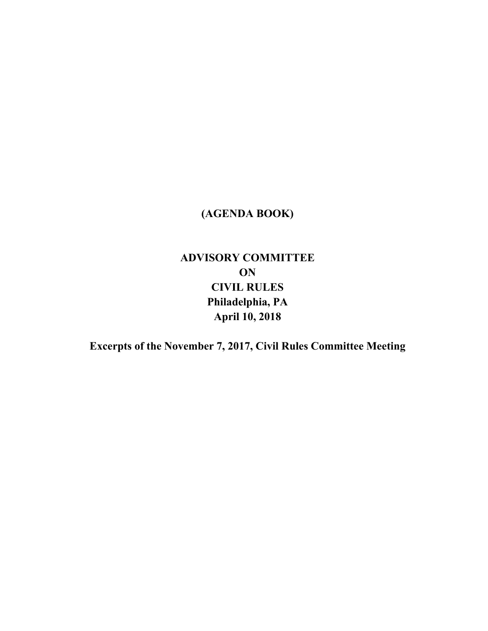## **(AGENDA BOOK)**

## **ADVISORY COMMITTEE ON CIVIL RULES Philadelphia, PA April 10, 2018**

**Excerpts of the November 7, 2017, Civil Rules Committee Meeting**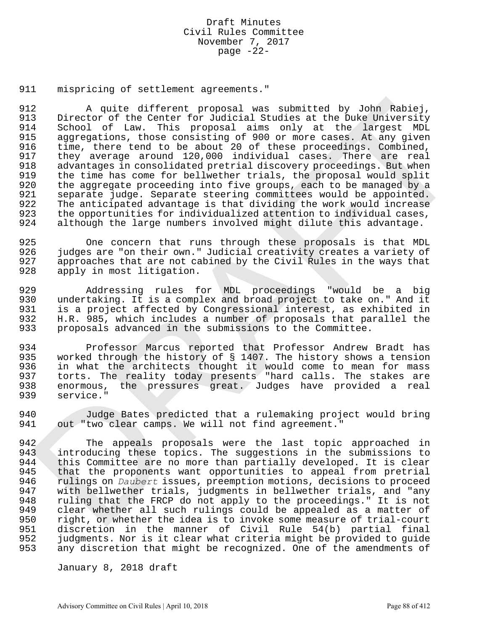## Draft Minutes Civil Rules Committee November 7, 2017 page  $-22-$

911 mispricing of settlement agreements."

912 A quite different proposal was submitted by John Rabiej, 913 Director of the Center for Judicial Studies at the Duke University<br>914 School of Law. This proposal aims only at the largest MDL 914 School of Law. This proposal aims only at the largest MDL<br>915 aggregations, those consisting of 900 or more cases. At any given aggregations, those consisting of 900 or more cases. At any given 916 time, there tend to be about 20 of these proceedings. Combined, 917 they average around 120,000 individual cases. There are real 918 advantages in consolidated pretrial discovery proceedings. But when<br>919 the time has come for bellwether trials, the proposal would split 919 the time has come for bellwether trials, the proposal would split<br>920 the aggregate proceeding into five groups, each to be managed by a the aggregate proceeding into five groups, each to be managed by a 921 separate judge. Separate steering committees would be appointed. 922 The anticipated advantage is that dividing the work would increase 923 the opportunities for individualized attention to individual cases,<br>924 although the large numbers involved might dilute this advantage. although the large numbers involved might dilute this advantage. 12 A quite different proposal was submitted by John Rabie),<br>
Director of the Center for underlal Studies at the blagest bundle<br>
School of the Center for underlal Studies at the largest bundle<br>
also of the This This propos

925 One concern that runs through these proposals is that MDL 926 judges are "on their own." Judicial creativity creates a variety of 927 approaches that are not cabined by the Civil Rules in the ways that 928 apply in most litigation.

929 Addressing rules for MDL proceedings "would be a big 930 undertaking. It is a complex and broad project to take on." And it 931 is a project affected by Congressional interest, as exhibited in 932 H.R. 985, which includes a number of proposals that parallel the<br>933 proposals advanced in the submissions to the Committee. proposals advanced in the submissions to the Committee.

934 Professor Marcus reported that Professor Andrew Bradt has 935 worked through the history of § 1407. The history shows a tension 936 in what the architects thought it would come to mean for mass 937 torts. The reality today presents "hard calls. The stakes are<br>938 enormous, the pressures great. Judges have provided a real enormous, the pressures great. Judges have provided a real 939 service."

940 Judge Bates predicted that a rulemaking project would bring 941 out "two clear camps. We will not find agreement."

942 The appeals proposals were the last topic approached in<br>943 introducing these topics. The suggestions in the submissions to introducing these topics. The suggestions in the submissions to 944 this Committee are no more than partially developed. It is clear 945 that the proponents want opportunities to appeal from pretrial 946 rulings on *Daubert* issues, preemption motions, decisions to proceed<br>947 with bellwether trials, judgments in bellwether trials, and "any 947 with bellwether trials, judgments in bellwether trials, and "any 948 ruling that the FRCP do not apply to the proceedings." It is not 949 clear whether all such rulings could be appealed as a matter of 950 right, or whether the idea is to invoke some measure of trial-court 951 discretion in the manner of Civil Rule 54(b) partial final<br>952 judgments. Nor is it clear what criteria might be provided to guide 952 judgments. Nor is it clear what criteria might be provided to guide<br>953 any discretion that might be recognized. One of the amendments of any discretion that might be recognized. One of the amendments of

January 8, 2018 draft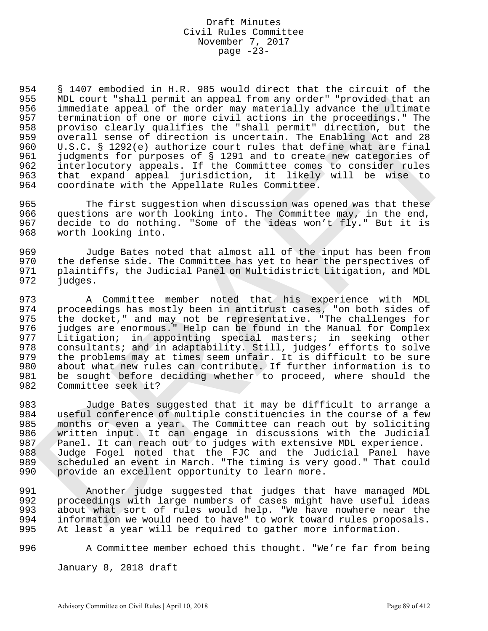## Draft Minutes Civil Rules Committee November 7, 2017 page  $-23-$

954 § 1407 embodied in H.R. 985 would direct that the circuit of the 955 MDL court "shall permit an appeal from any order" "provided that an 956 immediate appeal of the order may materially advance the ultimate<br>957 termination of one or more civil actions in the proceedings." The 957 termination of one or more civil actions in the proceedings." The<br>958 proviso clearly qualifies the "shall permit" direction, but the 958 proviso clearly qualifies the "shall permit" direction, but the<br>959 overall sense of direction is uncertain. The Enabling Act and 28 overall sense of direction is uncertain. The Enabling Act and 28 960 U.S.C. § 1292(e) authorize court rules that define what are final 961 judgments for purposes of § 1291 and to create new categories of<br>962 interlocutory appeals. If the Committee comes to consider rules 962 interlocutory appeals. If the Committee comes to consider rules<br>963 that expand appeal jurisdiction, it likely will be wise to 963 that expand appeal jurisdiction, it likely will be wise to 964 coordinate with the Appellate Rules Committee. ND count that harmatic anisotropic from any order "proceeding that an<br>interded the proceeding of the criterial permit of denotes the titlent<br>of immediate appeal of the order may materially advance the ultimate<br>provision c

965 The first suggestion when discussion was opened was that these 966 questions are worth looking into. The Committee may, in the end,<br>967 decide to do nothing. "Some of the ideas won't fly." But it is decide to do nothing. "Some of the ideas won't fly." But it is 968 worth looking into.

969 Judge Bates noted that almost all of the input has been from 970 the defense side. The Committee has yet to hear the perspectives of<br>971 Plaintiffs, the Judicial Panel on Multidistrict Litigation, and MDL 971 plaintiffs, the Judicial Panel on Multidistrict Litigation, and MDL<br>972 judges. judges.

973 A Committee member noted that his experience with MDL 974 proceedings has mostly been in antitrust cases, "on both sides of 975 the docket," and may not be representative. "The challenges for 976 judges are enormous." Help can be found in the Manual for Complex 977 Litigation; in appointing special masters; in seeking other 978 consultants; and in adaptability. Still, judges' efforts to solve 979 the problems may at times seem unfair. It is difficult to be sure 980 about what new rules can contribute. If further information is to 981 be sought before deciding whether to proceed, where should the 982 Committee seek it? Committee seek it?

983 Judge Bates suggested that it may be difficult to arrange a 984 useful conference of multiple constituencies in the course of a few 985 months or even a year. The Committee can reach out by soliciting 986 written input. It can engage in discussions with the Judicial 987 Panel. It can reach out to judges with extensive MDL experience. 988 Judge Fogel noted that the FJC and the Judicial Panel have 989 scheduled an event in March. "The timing is very good." That could 990 provide an excellent opportunity to learn more.

991 Another judge suggested that judges that have managed MDL 992 proceedings with large numbers of cases might have useful ideas 993 about what sort of rules would help. "We have nowhere near the 994 information we would need to have" to work toward rules proposals. 995 At least a year will be required to gather more information.

996 A Committee member echoed this thought. "We're far from being

January 8, 2018 draft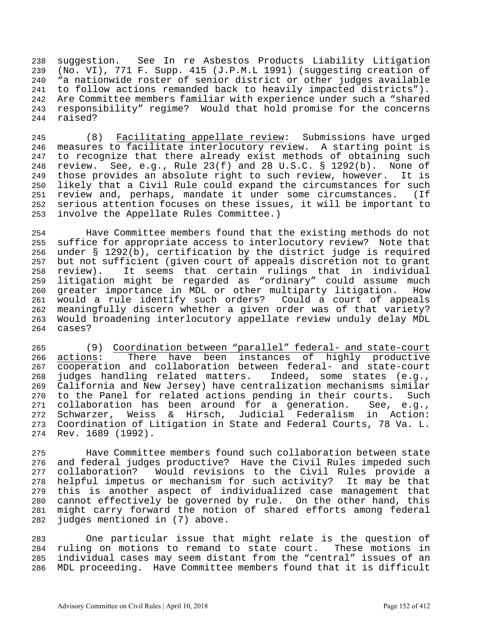suggestion. See In re Asbestos Products Liability Litigation (No. VI), 771 F. Supp. 415 (J.P.M.L 1991) (suggesting creation of "a nationwide roster of senior district or other judges available to follow actions remanded back to heavily impacted districts"). Are Committee members familiar with experience under such a "shared responsibility" regime? Would that hold promise for the concerns raised?

 (8) Facilitating appellate review: Submissions have urged measures to facilitate interlocutory review. A starting point is to recognize that there already exist methods of obtaining such review. See, e.g., Rule 23(f) and 28 U.S.C. § 1292(b). None of those provides an absolute right to such review, however. It is likely that a Civil Rule could expand the circumstances for such review and, perhaps, mandate it under some circumstances. (If serious attention focuses on these issues, it will be important to involve the Appellate Rules Committee.)

 Have Committee members found that the existing methods do not suffice for appropriate access to interlocutory review? Note that under § 1292(b), certification by the district judge is required but not sufficient (given court of appeals discretion not to grant review). It seems that certain rulings that in individual litigation might be regarded as "ordinary" could assume much greater importance in MDL or other multiparty litigation. How would a rule identify such orders? Could a court of appeals meaningfully discern whether a given order was of that variety? Would broadening interlocutory appellate review unduly delay MDL cases?

 (9) Coordination between "parallel" federal- and state-court actions: There have been instances of highly productive cooperation and collaboration between federal- and state-court judges handling related matters. Indeed, some states (e.g., California and New Jersey) have centralization mechanisms similar to the Panel for related actions pending in their courts. Such collaboration has been around for a generation. See, e.g., Schwarzer, Weiss & Hirsch, Judicial Federalism in Action: Coordination of Litigation in State and Federal Courts, 78 Va. L. Rev. 1689 (1992).

 Have Committee members found such collaboration between state and federal judges productive? Have the Civil Rules impeded such collaboration? Would revisions to the Civil Rules provide a helpful impetus or mechanism for such activity? It may be that this is another aspect of individualized case management that cannot effectively be governed by rule. On the other hand, this might carry forward the notion of shared efforts among federal judges mentioned in (7) above.

 One particular issue that might relate is the question of ruling on motions to remand to state court. These motions in individual cases may seem distant from the "central" issues of an MDL proceeding. Have Committee members found that it is difficult